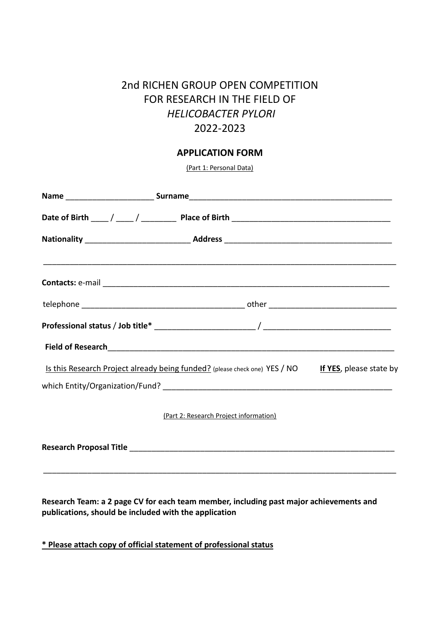## 2nd RICHEN GROUP OPEN COMPETITION FOR RESEARCH IN THE FIELD OF *HELICOBACTER PYLORI* 2022-2023

## **APPLICATION FORM**

(Part 1: Personal Data)

| Is this Research Project already being funded? (please check one) YES / NO If YES, please state by |  |
|----------------------------------------------------------------------------------------------------|--|
|                                                                                                    |  |
| (Part 2: Research Project information)                                                             |  |
|                                                                                                    |  |

**Research Team: a 2 page CV for each team member, including past major achievements and publications, should be included with the application**

**\* Please attach copy of official statement of professional status**